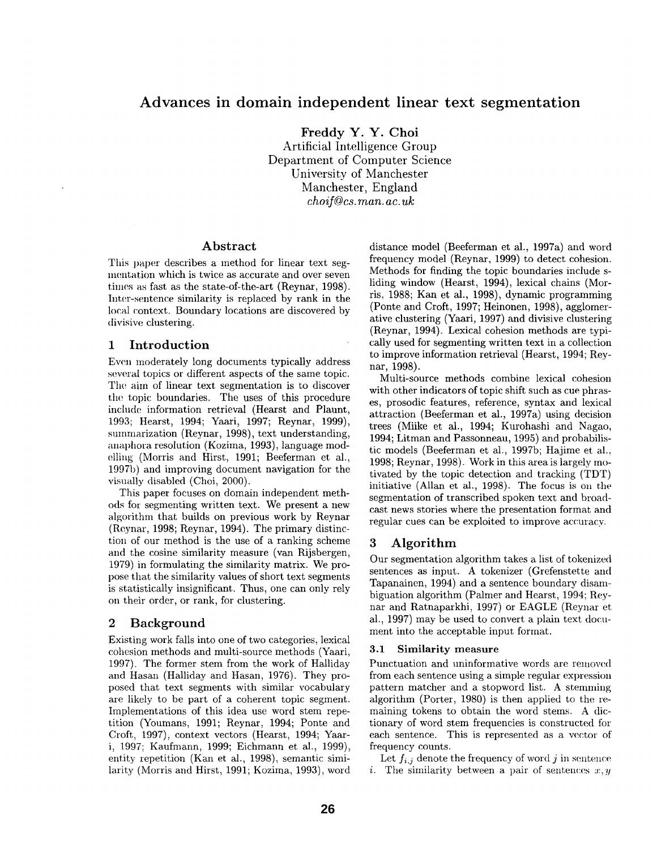# **Advances in domain independent linear text segmentation**

**Freddy Y. Y. Choi**  Artificial Intelligence Group Department of Computer Science University of Manchester Manchester, England *choif@cs.man.ac.uk* 

### **Abstract**

This paper describes a method for linear text segmentation which is twice as accurate and over seven times as fast as the state-of-the-art (Reynar, 1998). Inter-sentence similarity is replaced by rank in the local context. Boundary locations are discovered by divisive clustering.

# 1 Introduction

Even moderately long documents typically address several topics or different aspects of the same topic. The aim of linear text segmentation is to discover the topic boundaries. The uses of this procedure include information retrieval (Hearst and Plaunt, 1993; Hearst, 1994; Yaari, 1997; Reynar, 1999), summarization (Reynar, 1998), text understanding, anaphora resolution (Kozima, 1993), language modelling (Morris and Hirst, 1991; Beeferman et al., 1997b) and improving document navigation for the visually disabled (Choi, 2000).

This paper focuses on domain independent methods for segmenting written text. We present a new algorithm that builds on previous work by Reynar (Reynar, 1998; Reynar, 1994). The primary distinction of our method is the use of a ranking scheme and the cosine similarity measure (van Rijsbergen, 1979) in formulating the similarity matrix. We propose that the similarity values of short text segments is statistically insignificant. Thus, one can only rely on their order, or rank, for clustering.

# 2 Background

Existing work falls into one of two categories, lexical cohesion methods and multi-source methods (Yaari, 1997). The former stem from the work of Halliday and Hasan (Halliday and Hasan, 1976). They proposed that text segments with similar vocabulary are likely to be part of a coherent topic segment. Implementations of this idea use word stem repetition (Youmans, 1991; Reynar, 1994; Ponte and Croft, 1997), context vectors (Hearst, 1994; Yaari, 1997; Kaufmann, 1999; Eichmann et al., 1999), entity repetition (Kan et al., 1998), semantic similarity (Morris and Hirst, 1991; Kozima, 1993), word distance model (Beeferman et al., 1997a) and word frequency model (Reynar, 1999) to detect cohesion. Methods for finding the topic boundaries include sliding window (Hearst, 1994), lexical chains (Morris, 1988; Kan et al., 1998), dynamic programming (Ponte and Croft, 1997; Heinonen, 1998), agglomerative clustering (Yaari, 1997) and divisive clustering (Reynar, 1994). Lexical cohesion methods are typically used for segmenting written text in a collection to improve information retrieval (Hearst, 1994; Reynar, 1998).

Multi-source methods combine lexical cohesion with other indicators of topic shift such as cue phrases, prosodic features, reference, syntax and lexical attraction (Beeferman et al., 1997a) using decision trees (Miike et al., 1994; Kurohashi and Nagao, 1994; Litman and Passonneau, 1995) and probabilistic models (Beeferman et al., 1997b; Hajime et al., 1998; Reynar, 1998). Work in this area is largely motivated by the topic detection and tracking (TDT) initiative (Allan et al., 1998). The focus is on the segmentation of transcribed spoken text and broadcast news stories where the presentation format and regular cues can be exploited to improve accuracy.

# 3 **Algorithm**

Our segmentation algorithm takes a list of tokenized sentences as input. A tokenizer (Grefenstette and Tapanainen, 1994) and a sentence boundary disambiguation algorithm (Palmer and Hearst, 1994; Reynar and Ratnaparkhi, 1997) or EAGLE (Reynar et al., 1997) may be used to convert a plain text document into the acceptable input format.

## **3.1 Similarity measure**

Punctuation and uninformative words are removed from each sentence using a simple regular expression pattern mateher and a stopword list. A stemming algorithm (Porter, 1980) is then applied to the remaining tokens to obtain the word stems. A dictionary of word stem frequencies is constructed for each sentence. This is represented as a vector of frequency counts.

Let  $f_{i,j}$  denote the frequency of word j in sentence i. The similarity between a pair of sentences  $x, y$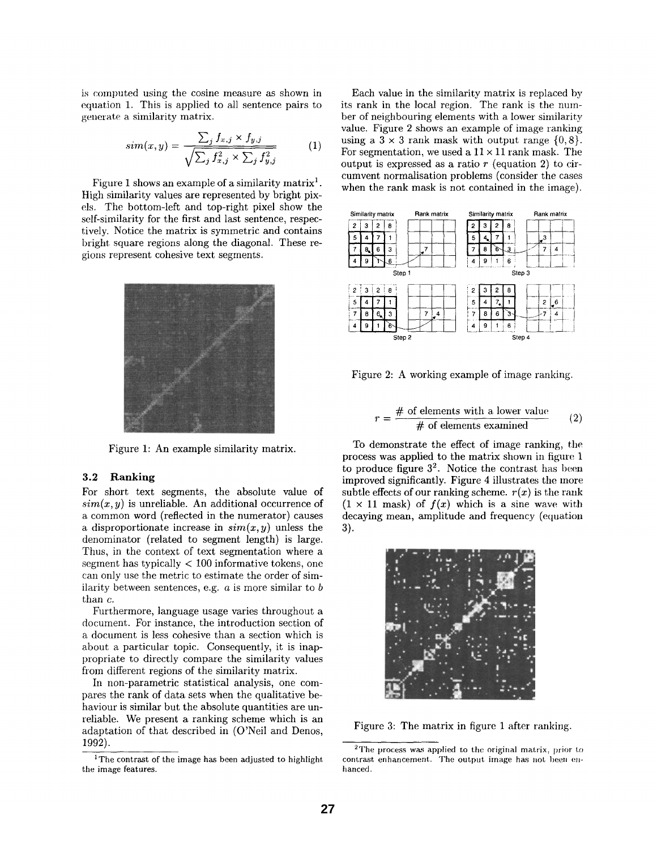is computed using the cosine measure as shown in equation 1. This is applied to all sentence pairs to generate a similarity matrix.

$$
sim(x,y) = \frac{\sum_{j} f_{x,j} \times f_{y,j}}{\sqrt{\sum_{j} f_{x,j}^{2} \times \sum_{j} f_{y,j}^{2}}}
$$
 (1)

Figure 1 shows an example of a similarity matrix<sup>1</sup>. High similarity values are represented by bright pixels. The bottom-left and top-right pixel show the self-similarity for the first and last sentence, respectively. Notice the matrix is symmetric and contains bright square regions along the diagonal. These regions represent cohesive text segments.



Figure 1: An example similarity matrix.

## **3.2 Ranking**

For short text segments, the absolute value of  $sim(x, y)$  is unreliable. An additional occurrence of a common word (reflected in the numerator) causes a disproportionate increase in  $sim(x, y)$  unless the denominator (related to segment length) is large. Thus, in the context of text segmentation where a segment has typically  $< 100$  informative tokens, one can only use the metric to estimate the order of similarity between sentences, e.g.  $a$  is more similar to  $b$ than c.

Furthermore, language usage varies throughout a document. For instance, the introduction section of a document is less cohesive than a section which is about a particular topic. Consequently, it is inappropriate to directly compare the similarity values from different regions of the similarity matrix.

In non-parametric statistical analysis, one compares the rank of data sets when the qualitative behaviour is similar but the absolute quantities are unreliable. We present a ranking scheme which is an adaptation of that described in (O'Neil and Denos, 1992).

Each value in the similarity matrix is replaced by its rank in the local region. The rank is the number of neighbouring elements with a lower similarity value. Figure 2 shows an example of image ranking using a  $3 \times 3$  rank mask with output range  $\{0, 8\}.$ For segmentation, we used a  $11 \times 11$  rank mask. The output is expressed as a ratio  $r$  (equation 2) to circumvent normalisation problems (consider the cases when the rank mask is not contained in the image).



Figure 2: A working example of image ranking.

$$
r = \frac{\text{\# of elements with a lower value}}{\text{\# of elements examined}} \tag{2}
$$

To demonstrate the effect of image ranking, the process was applied to the matrix shown in figure 1 to produce figure  $3^2$ . Notice the contrast has been improved significantly. Figure 4 illustrates the more subtle effects of our ranking scheme,  $r(x)$  is the rank  $(1 \times 11 \text{ mask})$  of  $f(x)$  which is a sine wave with decaying mean, amplitude and frequency (equation **3).** 



Figure 3: The matrix in figure 1 after ranking.

<sup>&</sup>lt;sup>1</sup>The contrast of the image has been adjusted to highlight the image features.

<sup>2</sup>The process was applied to the original matrix, prior to contrast enhancement. The output image has not been enhanced.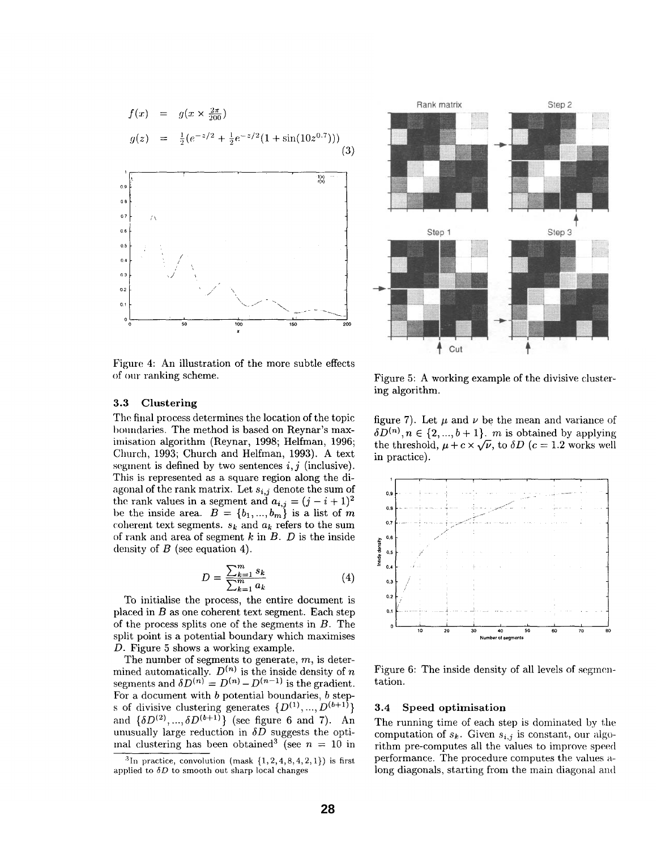$$
f(x) = g(x \times \frac{2\pi}{200})
$$
  
\n
$$
g(z) = \frac{1}{2} (e^{-z/2} + \frac{1}{2} e^{-z/2} (1 + \sin(10z^{0.7})))
$$
\n(3)



Figure 4: An illustration of the more subtle effects of our ranking scheme.



3.3 Clustering

The final process determines the location of the topic boundaries. The method is based on Reynar's maximisation algorithm (Reynar, 1998; Helfman, 1996; Church, 1993; Church and Helfman, 1993). A text segment is defined by two sentences  $i, j$  (inclusive). This is represented as a square region along the diagonal of the rank matrix. Let *si,j* denote the sum of the rank values in a segment and  $a_{i,j} = (j - i + 1)^2$ be the inside area.  $B = \{b_1, ..., b_m\}$  is a list of m coherent text segments.  $s_k$  and  $a_k$  refers to the sum of rank and area of segment  $k$  in  $B$ .  $D$  is the inside density of  $B$  (see equation 4).

$$
D = \frac{\sum_{k=1}^{m} s_k}{\sum_{k=1}^{m} a_k} \tag{4}
$$

To initialise the process, the entire document is placed in  $B$  as one coherent text segment. Each step of the process splits one of the segments in  $B$ . The split point is a potential boundary which maximises D. Figure 5 shows a working example.

The number of segments to generate,  $m$ , is determined automatically.  $D^{(n)}$  is the inside density of n segments and  $\delta D^{(n)} = D^{(n)} - D^{(n-1)}$  is the gradient. For a document with  $b$  potential boundaries,  $b$  steps of divisive clustering generates  $\{D^{(1)},...,D^{(b+1)}\}$ and  $\{\delta D^{(2)},...,\delta D^{(b+1)}\}$  (see figure 6 and 7). An unusually large reduction in *5D* suggests the optiinal clustering has been obtained<sup>3</sup> (see  $n = 10$  in

Figure 5: A working example of the divisive elustering algorithm.

figure 7). Let  $\mu$  and  $\nu$  be the mean and variance of  $\delta D^{(n)}, n \in \{2, ..., b+1\}$ . *m* is obtained by applying the threshold,  $\mu + c \times \sqrt{\nu}$ , to  $\delta D$  ( $c = 1.2$  works well in practice).



Figure 6: The inside density of all levels of segmentation.

### 3.4 Speed optimisation

The running time of each step is dominated by the computation of  $s_k$ . Given  $s_{i,j}$  is constant, our algorithm pre-computes all the values to improve speed performance. The procedure computes the values along diagonals, starting from the main diagonal and

<sup>&</sup>lt;sup>3</sup>In practice, convolution (mask  $\{1, 2, 4, 8, 4, 2, 1\}$ ) is first applied to  $\delta D$  to smooth out sharp local changes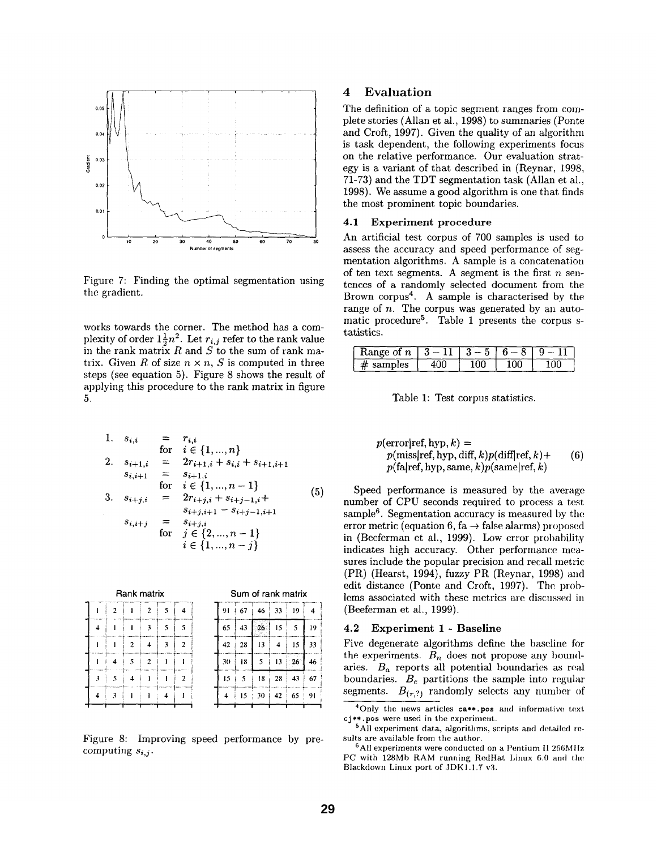

Figure 7: Finding the optimal segmentation using the gradient.

works towards the corner. The method has a complexity of order  $1\frac{1}{2}n^2$ . Let  $r_{i,j}$  refer to the rank value in the rank matrix  $R$  and  $S$  to the sum of rank matrix. Given R of size  $n \times n$ , S is computed in three steps (see equation 5). Figure 8 shows the result of applying this procedure to the rank matrix in figure 5.

1. 
$$
s_{i,i} = r_{i,i}
$$
  
\nfor  $i \in \{1, ..., n\}$   
\n2.  $s_{i+1,i} = 2r_{i+1,i} + s_{i,i} + s_{i+1,i+1}$   
\n $s_{i,i+1} = s_{i+1,i}$   
\nfor  $i \in \{1, ..., n-1\}$   
\n3.  $s_{i+j,i} = 2r_{i+j,i} + s_{i+j-1,i} + s_{i+j-1,i+1}$   
\n $s_{i,i+j} = s_{i+j,i}$   
\nfor  $j \in \{2, ..., n-1\}$   
\n $i \in \{1, ..., n-j\}$ 

| Rank matrix<br> |                |   |                |   |                         | Sum of rank matrix |    |     |    |     |    |
|-----------------|----------------|---|----------------|---|-------------------------|--------------------|----|-----|----|-----|----|
|                 | $\overline{2}$ |   | $\mathfrak{p}$ | 5 | 4                       | 91                 | 67 | 46  | 33 | 19  | 4  |
|                 |                |   | ٦              | 5 | 5                       | 65                 | 43 | 26  | 15 | 5   | 19 |
|                 |                | 2 | Δ              | 3 | 2                       | 42                 | 28 | 13  | 4  | 15  | 33 |
|                 | 4              | 5 | 2              |   |                         | 30                 | 18 | 5   | 13 | -26 | 46 |
| 3               | ٢              | 4 |                |   | $\overline{\mathbf{c}}$ | 15                 | 5  | 18  | 28 | 43  | 67 |
|                 | 3              |   |                | 4 |                         | 4                  | 15 | -30 | 42 | 65  | 91 |
|                 |                |   |                |   |                         |                    |    |     |    |     |    |

Figure 8: Improving speed performance by precomputing *si,j.* 

# **4 Evaluation**

The definition of a topic segment ranges from complete stories (Allan et al., 1998) to summaries (Ponte and Croft, 1997). Given the quality of an algorithm is task dependent, the following experiments focus on the relative performance. Our evaluation strategy is a variant of that described in (Reynar, 1998, 71-73) and the TDT segmentation task (Allan et al., 1998). We assume a good algorithm is one that finds the most prominent topic boundaries.

#### 4.1 Experiment procedure

An artificial test corpus of 700 samples is used to assess the accuracy and speed performance of segmentation algorithms. A sample is a concatenation of ten text segments. A segment is the first  $n$  sentences of a randomly selected document from the Brown corpus<sup>4</sup>. A sample is characterised by the range of *n*. The corpus was generated by an automatic procedure<sup>5</sup>. Table 1 presents the corpus statistics.

| <b>Range of <math>n \mid 3-11 \mid 3-5 \mid</math></b> |  | $6 - 8$ | $9-$ |
|--------------------------------------------------------|--|---------|------|
| $\#$ samples                                           |  |         |      |

Table 1: Test corpus statistics.

 $p(\text{error}|\text{ref}, \text{hyp}, k) =$  $p(miss|ref, hyp, diff, k)p(diff|ref, k)$ + (6)  $p(fa|ref, hyp, same, k)p(same|ref, k)$ 

Speed performance is measured by the average number of CPU seconds required to process a test sample<sup>6</sup>. Segmentation accuracy is measured by the error metric (equation 6, fa  $\rightarrow$  false alarms) proposed in (Beeferman et al., 1999). Low error probability indicates high accuracy. Other performance measures include the popular precision and recall metric (PR) (Hearst, 1994), fuzzy PR (Reynar, 1998) and edit distance (Ponte and Croft, 1997). The problems associated with these metrics are discussed in (Beeferman et al., 1999).

#### **4.2 Experiment 1 - Baseline**

Five degenerate algorithms define the baseline for the experiments.  $B_n$  does not propose any boundaries.  $B_a$  reports all potential boundaries as real boundaries.  $B_e$  partitions the sample into regular segments.  $B_{(r,?)}$  randomly selects any number of

 $5$ All experiment data, algorithms, scripts and detailed results are available from the author.

 $6$ All experiments were conducted on a Pentium II 266MHz PC with 128Mb RAM running RedHat Linux 6.0 and the Blackdown Linux port of .IDK1.1.7 v3.

<sup>4</sup>Only the news articles ca\*\*.pos and informative text cj\*\*.pos were used in the experiment.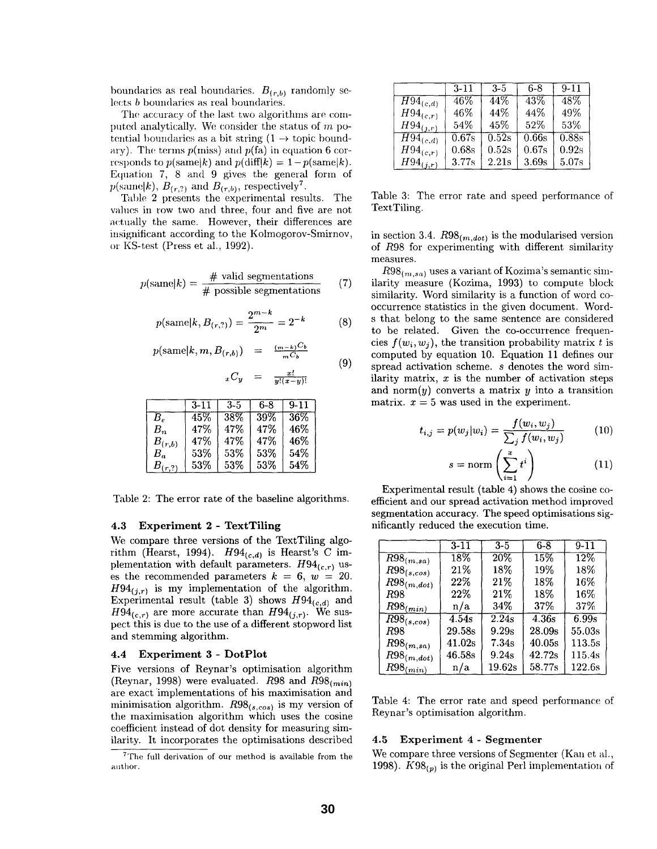boundaries as real boundaries.  $B_{(r,b)}$  randomly selects b boundaries as real boundaries.

The accuracy of the last two algorithms are computed analytically. We consider the status of  $m$  potential boundaries as a bit string  $(1 \rightarrow$  topic boundary). The terms  $p(miss)$  and  $p(fa)$  in equation 6 corresponds to  $p(\text{same}|k)$  and  $p(\text{diff}|k) = 1-p(\text{same}|k)$ . Equation 7, 8 and 9 gives the general form of  $p(\text{same}|k)$ ,  $B_{(r,2)}$  and  $B_{(r,b)}$ , respectively<sup>7</sup>.

Table 2 presents the experimental results. The values in row two and three, four and five are not actually the same. However, their differences are insignificant according to the Kolmogorov-Smirnov, or KS-test (Press et al., 1992).

$$
p(\text{same}|k) = \frac{\text{\# valid segmentations}}{\text{\# possible segmentations}} \tag{7}
$$

$$
p(\text{same}|k, B_{(r,?)}) = \frac{2^{m-k}}{2^m} = 2^{-k}
$$

$$
p(\text{same}|k, m, B_{(r,b)}) = \frac{(m-k)C_b}{mC_b}
$$

 $_{x}C$ 

$$
y = \frac{x!}{u!(x-u)!}
$$

(8)

**(9)** 

|                | $3-11$ | $3 - 5$ | 6-8 | $9 - 11$ |
|----------------|--------|---------|-----|----------|
| $B_{\epsilon}$ | 45%    | $38\%$  | 39% | 36%      |
| $B_n$          | 47%    | 47%     | 47% | 46%      |
| $B_{(r,b)}$    | 47%    | 47%     | 47% | 46%      |
| $B_a$          | 53%    | 53%     | 53% | 54%      |
| $B_{(r,?)}$    | 53%    | 53%     | 53% | 54%      |

Table 2: The error rate of the baseline algorithms.

### **4.3 Experiment 2 - TextTiling**

We compare three versions of the TextTiling algorithm (Hearst, 1994).  $H94_{(c,d)}$  is Hearst's C implementation with default parameters.  $H94_{(c,r)}$  uses the recommended parameters  $k = 6$ ,  $w = 20$ .  $H94(i,r)$  is my implementation of the algorithm. Experimental result (table 3) shows  $H94_{(c,d)}$  and  $H94_{(c,r)}$  are more accurate than  $H94_{(j,r)}$ . We suspect this is due to the use of a different stopword list and stemming algorithm.

# **4.4 Experiment** 3 - DotPlot

Five versions of Reynar's optimisation algorithm (Reynar, 1998) were evaluated. R98 and  $R98_{(min)}$ are exact implementations of his maximisation and minimisation algorithm.  $R98_{(s, cos)}$  is my version of the maximisation algorithm which uses the cosine coefficient instead of dot density for measuring similarity. It incorporates the optimisations described

|                          | $3 - 11$ | $3 - 5$ | 6-8   | $9 - 11$ |
|--------------------------|----------|---------|-------|----------|
| $\overline{H}94_{(c,d)}$ | 46%      | 44%     | 43%   | 48%      |
| $H94_{(c,r)}$            | 46%      | 44%     | 44%   | 49%      |
| $H94_{(j,r)}$            | $54\%$   | 45%     | 52%   | 53%      |
| $\overline{H9}4_{(c,d)}$ | 0.67s    | 0.52s   | 0.66s | 0.88s    |
| $H94_{(c,r)}$            | 0.68s    | 0.52s   | 0.67s | 0.92s    |
| $H94_{(j,r)}$            | 3.77s    | 2.21s   | 3.69s | 5.07s    |

Table 3: The error rate and speed performance of TextTiling.

in section 3.4.  $R98$ <sub>(*m,dot*)</sub> is the modularised version of R98 for experimenting with different similarity measures.

 $R98_{(m,sa)}$  uses a variant of Kozima's semantic similarity measure (Kozima, 1993) to compute block similarity. Word similarity is a function of word cooccurrence statistics in the given document. Words that belong to the same sentence are considered to be related. Given the co-occurrence frequencies  $f(w_i, w_j)$ , the transition probability matrix t is computed by equation 10. Equation 11 defines our spread activation scheme, s denotes the word similarity matrix,  $x$  is the number of activation steps and norm $(y)$  converts a matrix y into a transition matrix,  $x = 5$  was used in the experiment.

$$
t_{i,j} = p(w_j|w_i) = \frac{f(w_i, w_j)}{\sum_j f(w_i, w_j)}
$$
(10)

$$
s = \operatorname{norm}\left(\sum_{i=1}^{x} t^i\right) \tag{11}
$$

Experimental result (table 4) shows the cosine coefficient and our spread activation method improved segmentation accuracy. The speed optimisations significantly reduced the execution time.

|                             | $3 - 11$ | $3 - 5$ | $6 - 8$ | $9 - 11$ |
|-----------------------------|----------|---------|---------|----------|
| $\overline{R9}8_{(m,sa)}$   | 18%      | 20%     | 15%     | 12%      |
| $R98_{(s, cos)}$            | 21%      | $18\%$  | 19%     | 18%      |
| $R98$ <sub>(m,dot)</sub>    | 22%      | 21\%    | $18\%$  | 16%      |
| R98                         | 22%      | 21%     | $18\%$  | 16%      |
| $R98_{(min)}$               | n/a      | 34\%    | 37%     | 37%      |
| $\overline{R98}_{(s, cos)}$ | 4.54s    | 2.24s   | 4.36s   | 6.99s    |
| R98                         | 29.58s   | 9.29s   | 28.09s  | 55.03s   |
| $R98_{(m,sa)}$              | 41.02s   | 7.34s   | 40.05s  | 113.5s   |
| $R98_{(m,dot)}$             | 46.58s   | 9.24s   | 42.72s  | 115.4s   |
| $R98_{(min)}$               | n/a      | 19.62s  | 58.77s  | 122.6s   |

Table 4: The error rate and speed performance of Reynar's optimisation algorithm.

#### **4.5 Experiment 4 - Segmenter**

We compare three versions of Segmenter (Kan et al., 1998).  $K98_{(p)}$  is the original Perl implementation of

 $7$ The full derivation of our method is available from the author.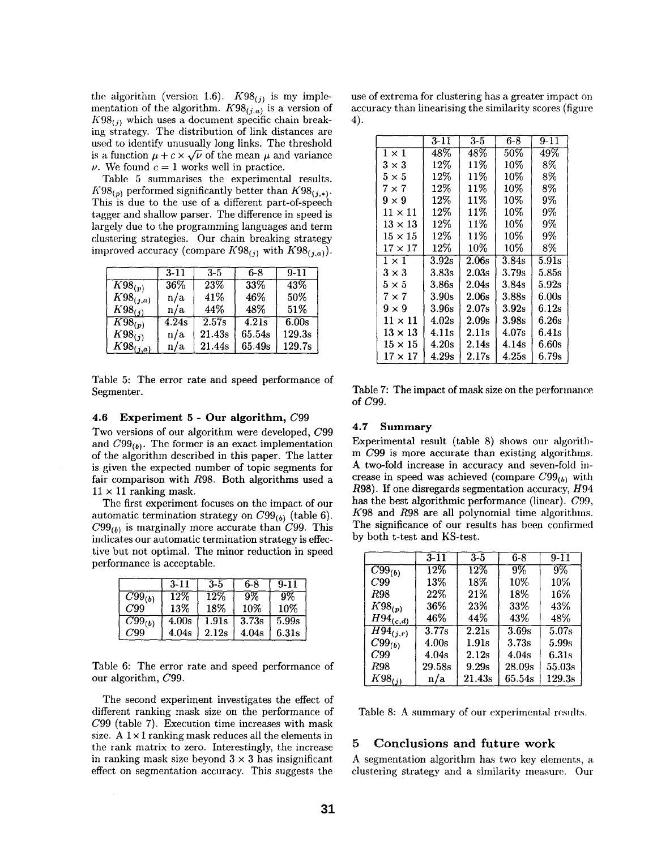the algorithm (version 1.6).  $K98_{(j)}$  is my implementation of the algorithm.  $K98_{(j,a)}$  is a version of  $K98_{(i)}$  which uses a document specific chain breaking strategy. The distribution of link distances are used to identify unusually long links. The threshold is a function  $\mu + c \times \sqrt{\nu}$  of the mean  $\mu$  and variance  $\nu$ . We found  $c = 1$  works well in practice.

Table 5 summarises the experimental results.  $K98_{(p)}$  performed significantly better than  $K98_{(i,*)}$ . This is due to the use of a different part-of-speech tagger and shallow parser. The difference in speed is largely due to the programming languages and term clustering strategies. Our chain breaking strategy improved accuracy (compare  $K98_{(i)}$  with  $K98_{(i,a)}$ ).

|                        | $3-11$ | $3 - 5$ | $6 - 8$            | $9 - 11$ |
|------------------------|--------|---------|--------------------|----------|
| $\overline{K98}_{(p)}$ | $36\%$ | $23\%$  | 33%                | 43%      |
| $K98_{(j,a)}$          | n/a    | 41%     | 46%                | 50%      |
| $K98_{(j)}$            | n/a    | 44%     | 48%                | 51\%     |
| $\overline{K98}_{(p)}$ | 4.24s  | 2.57s   | $\overline{4.21s}$ | 6.00s    |
| $K98_{(j)}$            | n/a    | 21.43s  | 65.54s             | 129.3s   |
| $K98_{(j,a)}$          | n/a    | 21.44s  | 65.49s             | 129.7s   |

Table 5: The error rate and speed performance of Segmenter.

#### **4.6 Experiment 5 -** Our algorithm, C99

Two versions of our algorithm were developed, C99 and  $C99_{(b)}$ . The former is an exact implementation of the algorithm described in this paper. The latter is given the expected number of topic segments for fair comparison with R98. Both algorithms used a  $11 \times 11$  ranking mask.

The first experiment focuses on the impact of our automatic termination strategy on  $C99_{(b)}$  (table 6).  $C99_{(b)}$  is marginally more accurate than C99. This indicates our automatic termination strategy is effective but not optimal. The minor reduction in speed performance is acceptable.

|                        | $3 - 11$ | $3 - 5$ | 6-8   | $9 - 11$ |
|------------------------|----------|---------|-------|----------|
| $\overline{C}99_{(b)}$ | 12%      | 12%     | 9%    | 9%       |
| C99                    | 13%      | 18%     | 10%   | 10%      |
| $\overline{C99}_{(b)}$ | 4.00s    | 1.91s   | 3.73s | 5.99s    |
| C99                    | 4.04s    | 2.12s   | 4.04s | 6.31s    |

Table 6: The error rate and speed performance of our algorithm, C99.

The second experiment investigates the effect of different ranking mask size on the performance of C99 (table 7). Execution time increases with mask size. A  $1 \times 1$  ranking mask reduces all the elements in the rank matrix to zero. Interestingly, the increase in ranking mask size beyond  $3 \times 3$  has insignificant effect on segmentation accuracy. This suggests the

use of extrema for clustering has a greater impact on accuracy than linearising the similarity scores (figure 4).

|                | 3-11             | $3-5$  | 6-8      | $9 - 11$         |
|----------------|------------------|--------|----------|------------------|
| $1 \times 1$   | 48%              | 48%    | 50%      | 49%              |
| $3\times3$     | $12\%$           | 11%    | $10\%$   | 8%               |
| $5 \times 5$   | $12\%$           | $11\%$ | $10\%$   | 8%               |
| $7\times7$     | 12%              | 11%    | 10%      | 8%               |
| $9 \times 9$   | 12%              | 11%    | $10\%$   | 9%               |
| $11 \times 11$ | $12\%$           | 11%    | $10\%$   | 9%               |
| $13 \times 13$ | $12\%$           | 11%    | $10\%$   | 9%               |
| $15\times15$   | $12\%$           | 11%    | $10\%$   | 9%               |
| $17\times17$   | $12\%$           | $10\%$ | 10%      | 8%               |
| $1 \times 1$   | 3.92s            | 2.06s  | 3.84s    | 5.91s            |
| $3 \times 3$   | 3.83s            | 2.03s  | 3.79s    | 5.85s            |
| $5\times5$     | 3.86s            | 2.04s  | 3.84s    | $5.92\mathrm{s}$ |
| $7\times7$     | 3.90s            | 2.06s  | 3.88s    | 6.00s            |
| $9 \times 9$   | 3.96s            | 2.07s  | $3.92$ s | 6.12s            |
| $11 \times 11$ | 4.02s            | 2.09s  | 3.98s    | 6.26s            |
| $13 \times 13$ | 4.11s            | 2.11s  | 4.07s    | 6.41s            |
| $15\times15$   | 4.20s            | 2.14s  | 4.14s    | 6.60s            |
| $17\times17$   | $4.29\mathrm{s}$ | 2.17s  | 4.25s    | 6.79s            |

Table 7: The impact of mask size on the performance of C99.

#### **4.7 Summary**

Experimental result (table 8) shows our algorithm C99 is more accurate than existing algorithms. A two-fold increase in accuracy and seven-fold increase in speed was achieved (compare  $C99_{(b)}$  with R98). If one disregards segmentation accuracy, H94 has the best algorithmic performance (linear). C99, K98 and R98 are all polynomial time algorithms. The significance of our results has been confirmed by both t-test and KS-test.

|                                     | $3 - 11$          | $3 - 5$           | $6-8$  | $9-11$ |
|-------------------------------------|-------------------|-------------------|--------|--------|
| $\overline{C99_{(b)}}$              | $\overline{12\%}$ | $\overline{12\%}$ | $9\%$  | $9\%$  |
| C99                                 | 13%               | 18%               | 10%    | 10%    |
| <b>R98</b>                          | 22%               | 21%               | 18%    | 16%    |
| $K98_{(p)}$                         | 36%               | 23%               | 33%    | 43%    |
| $H94_{(c,d)}$                       | 46%               | 44%               | 43%    | 48%    |
| $\overline{H\overline{9}4}_{(j,r)}$ | 3.77s             | 2.21s             | 3.69s  | 5.07s  |
| $C99_{(b)}$                         | 4.00s             | 1.91s             | 3.73s  | 5.99s  |
| C99                                 | 4.04s             | 2.12s             | 4.04s  | 6.31s  |
| R98                                 | 29.58s            | 9.29s             | 28.09s | 55.03s |
| $K98_{(j)}$                         | n/a               | 21.43s            | 65.54s | 129.3s |

Table 8: A summary of our experimental results.

### 5 Conclusions and future work

A segmentation algorithm has two key elements, a clustering strategy and a similarity measure. Our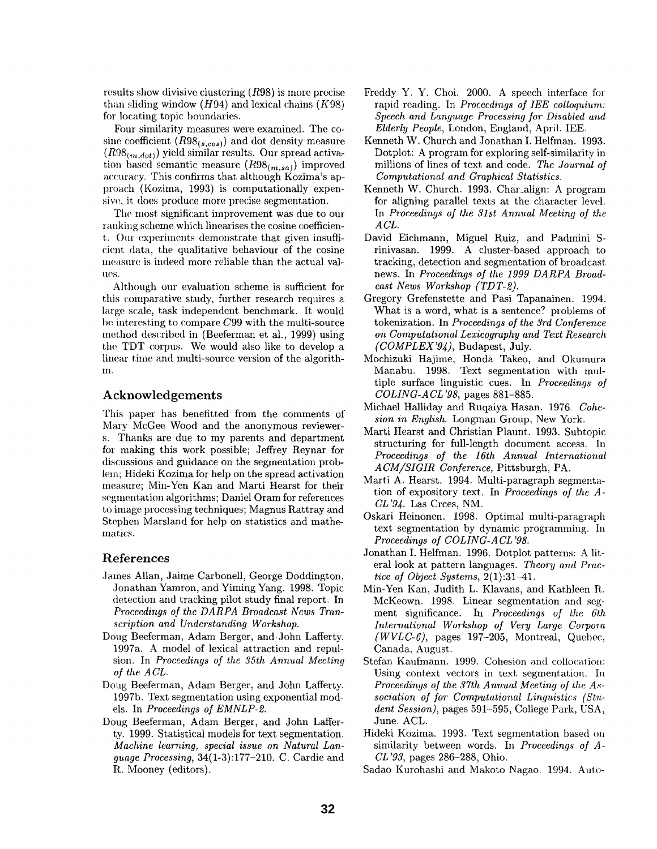results show divisive clustering (R98) is more precise than sliding window  $(H94)$  and lexical chains  $(K98)$ for locating topic boundaries.

Four similarity measures were examined. The cosine coefficient  $(R98_{(s, cos)})$  and dot density measure  $(R98_{(m,dot)})$  yield similar results. Our spread activation based semantic measure  $(R98_{(m,sa)})$  improved accuracy. This confirms that although Kozima's approach (Kozima, 1993) is computationally expensive, it does produce more precise segmentation.

The most significant improvement was due to our ranking scheme which linearises the cosine coefficient. Our experiments demonstrate that given insufficient data, the qualitative behaviour of the cosine measure is indeed more reliable than the actual val-II(~S.

Although our evaluation scheme is sufficient for this comparative study, further research requires a large scale, task independent benchmark. It would be interesting to compare  $C99$  with the multi-source method described in (Beeferman et al., 1999) using the TDT corpus. We would also like to develop a linear time and multi-source version of the algorith-IIl.

# **Acknowledgements**

This paper has benefitted from the comments of Mary McGee Wood and the anonymous reviewers. Thanks are due to my parents and department for making this work possible; Jeffrey Reynar for discussions and guidance on the segmentation problem; Hideki Kozima for help on the spread activation measure; Min-Yen Kan and Marti Hearst for their segmentation algorithms; Daniel Oram for references to image processing techniques; Magnus Rattray and Stephen Marsland for help on statistics and mathematics.

### References

- James Allan, Jaime Carbonell, George Doddington, Jonathan Yamron, and Yiming Yang. 1998. Topic detection and tracking pilot study final report. In *Proceedings of the DARPA Broadcast News Transcription and Understanding Workshop.*
- Doug Beeferman, Adam Berger, and John Lafferty. 1997a. A model of lexical attraction and repulsion. In *Proceedings of the 35th Annual Meeting of the A CL.*
- Doug Beeferman, Adam Berger, and John Lafferty. 1997b. Text segmentation using exponential models. In *Proceedings of EMNLP-2.*
- Doug Beeferman, Adam Berger, and John Lafferty. 1999. Statistical models for text segmentation. *Machine learning, special issue on Natural Language Processing,* 34(1-3):177-210. C. Cardie and R. Mooney (editors).
- Freddy Y. Y. Choi. 2000. A speech interface for rapid reading. In *Proceedings of lEE coUoquium: Speech and Language Processing for Disabled and Elderly People,* London, England, April. IEE.
- Kenneth W. Church and Jonathan I. Helfman. 1993. Dotplot: A program for exploring self-similarity in millions of lines of text and code. *The Journal of Computational and Graphical Statistics.*
- Kenneth W. Church. 1993. Char\_align: A program for aligning parallel texts at the character level. In *Proceedings of the 31st Annual Meeting of the ACL.*
- David Eichmann, Miguel Ruiz, and Padmini Srinivasan. 1999. A cluster-based approach to tracking, detection and segmentation of broadcast news. In *Proceedings of the 1999 DARPA Broadcast News Workshop (TDT-2).*
- Gregory Grefenstette and Pasi Tapanainen. 1994. What is a word, what is a sentence? problems of tokenization. In *Proceedings of the 3rd Conference on Computational Lexicography and Text Research (COMPLEX'94),* Budapest, July.
- Mochizuki Hajime, Honda Takeo, and Okumura Manabu. 1998. Text segmentation with multiple surface linguistic cues. In *Proceedings of COLING-ACL'98,* pages 881-885.
- Michael Halliday and Ruqaiya Hasan. 1976. *Cohesion in English.* Longman Group, New York.
- Marti Hearst and Christian Plaunt. 1993. Subtopic structuring for full-length document access. In *Proceedings of the 16th Annual International A CM/SIGIR Conference,* Pittsburgh, PA.
- Marti A. Hearst. 1994. Multi-paragraph segmentation of expository text. In *Proceedings of the A-CL'94.* Las Crees, NM.
- Oskari Heinonen. 1998. Optimal multi-paragraph text segmentation by dynamic programming. In *Proceedings of COLING-A CL '98.*
- Jonathan I. Helfman. 1996. Dotplot patterns: A literal look at pattern languages. *Theory and Practice of Object Systems,* 2(1):31-41.
- Min-Yen Kan, Judith L. Klavans, and Kathleen R. McKeown. 1998. Linear segmentation and segment significance. In *Proceedings of the 6th.*   $International Workshop of Very Large Corporational$ *(WVLC-6),* pages 197-205, Montreal, Quebec, Canada, August.
- Stefan Kaufmann. 1999. Cohesion and collocation: Using context vectors in text segmentation. In *Proceedings of the 37th Annual Meeting of the A.ssociation of for Computational Linguistics (Student Session),* pages 591-595, College Park, USA, June. ACL.
- Hideki Kozima. 1993. Text segmentation based on similarity between words. In *Proceedings of A-CL '93,* pages 286-288, Ohio.
- Sadao Kurohashi and Makoto Nagao. 1994. Auto-